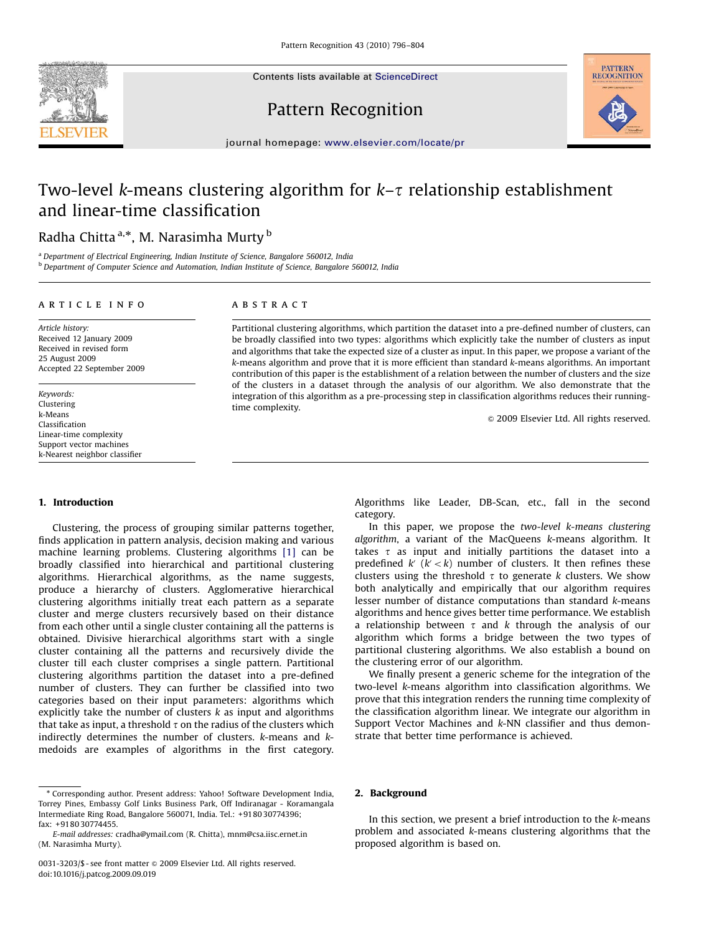Contents lists available at ScienceDirect

## Pattern Recognition



journal homepage: [www.elsevier.com/locate/pr](www.elsevier.de/pr)

## Two-level k-means clustering algorithm for  $k-\tau$  relationship establishment and linear-time classification

Radha Chitta <sup>a,</sup>\*, M. Narasimha Murty <sup>b</sup>

<sup>a</sup> Department of Electrical Engineering, Indian Institute of Science, Bangalore 560012, India **b Department of Computer Science and Automation, Indian Institute of Science, Bangalore 560012, India** 

#### article info

### ABSTRACT

Article history: Received 12 January 2009 Received in revised form 25 August 2009 Accepted 22 September 2009

Keywords: Clustering k-Means Classification Linear-time complexity Support vector machines k-Nearest neighbor classifier

1. Introduction

Clustering, the process of grouping similar patterns together, finds application in pattern analysis, decision making and various machine learning problems. Clustering algorithms [\[1\]](#page--1-0) can be broadly classified into hierarchical and partitional clustering algorithms. Hierarchical algorithms, as the name suggests, produce a hierarchy of clusters. Agglomerative hierarchical clustering algorithms initially treat each pattern as a separate cluster and merge clusters recursively based on their distance from each other until a single cluster containing all the patterns is obtained. Divisive hierarchical algorithms start with a single cluster containing all the patterns and recursively divide the cluster till each cluster comprises a single pattern. Partitional clustering algorithms partition the dataset into a pre-defined number of clusters. They can further be classified into two categories based on their input parameters: algorithms which explicitly take the number of clusters  $k$  as input and algorithms that take as input, a threshold  $\tau$  on the radius of the clusters which indirectly determines the number of clusters. k-means and kmedoids are examples of algorithms in the first category.

Partitional clustering algorithms, which partition the dataset into a pre-defined number of clusters, can be broadly classified into two types: algorithms which explicitly take the number of clusters as input and algorithms that take the expected size of a cluster as input. In this paper, we propose a variant of the k-means algorithm and prove that it is more efficient than standard k-means algorithms. An important contribution of this paper is the establishment of a relation between the number of clusters and the size of the clusters in a dataset through the analysis of our algorithm. We also demonstrate that the integration of this algorithm as a pre-processing step in classification algorithms reduces their runningtime complexity.

 $© 2009$  Elsevier Ltd. All rights reserved.

Algorithms like Leader, DB-Scan, etc., fall in the second category.

In this paper, we propose the two-level k-means clustering algorithm, a variant of the MacQueens k-means algorithm. It takes  $\tau$  as input and initially partitions the dataset into a predefined  $k'$   $(k' < k)$  number of clusters. It then refines these clusters using the threshold  $\tau$  to generate k clusters. We show both analytically and empirically that our algorithm requires lesser number of distance computations than standard k-means algorithms and hence gives better time performance. We establish a relationship between  $\tau$  and k through the analysis of our algorithm which forms a bridge between the two types of partitional clustering algorithms. We also establish a bound on the clustering error of our algorithm.

We finally present a generic scheme for the integration of the two-level k-means algorithm into classification algorithms. We prove that this integration renders the running time complexity of the classification algorithm linear. We integrate our algorithm in Support Vector Machines and k-NN classifier and thus demonstrate that better time performance is achieved.

### 2. Background

In this section, we present a brief introduction to the  $k$ -means problem and associated k-means clustering algorithms that the proposed algorithm is based on.



<sup>-</sup> Corresponding author. Present address: Yahoo! Software Development India, Torrey Pines, Embassy Golf Links Business Park, Off Indiranagar - Koramangala Intermediate Ring Road, Bangalore 560071, India. Tel.: +9180 30774396; fax: +9180 30774455.

E-mail addresses: [cradha@ymail.com \(R. Chitta\)](mailto:cradha@ymail.com), [mnm@csa.iisc.ernet.in](mailto:mnm@csa.iisc.ernet.in) [\(M. Narasimha Murty\).](mailto:mnm@csa.iisc.ernet.in)

<sup>0031-3203/\$ -</sup> see front matter @ 2009 Elsevier Ltd. All rights reserved. doi:[10.1016/j.patcog.2009.09.019](dx.doi.org/10.1016/j.patcog.2009.09.019)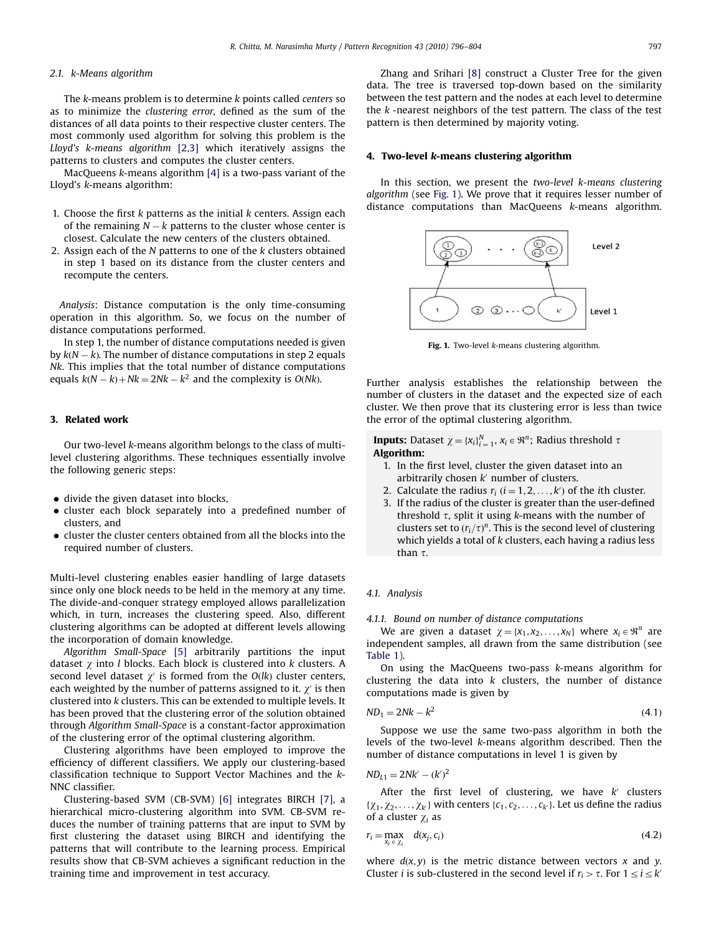#### 2.1. k-Means algorithm

The k-means problem is to determine k points called centers so as to minimize the clustering error, defined as the sum of the distances of all data points to their respective cluster centers. The most commonly used algorithm for solving this problem is the Lloyd's k-means algorithm [\[2,3\]](#page--1-0) which iteratively assigns the patterns to clusters and computes the cluster centers.

MacQueens k-means algorithm [\[4\]](#page--1-0) is a two-pass variant of the Lloyd's k-means algorithm:

- 1. Choose the first k patterns as the initial k centers. Assign each of the remaining  $N-k$  patterns to the cluster whose center is closest. Calculate the new centers of the clusters obtained.
- 2. Assign each of the  $N$  patterns to one of the  $k$  clusters obtained in step 1 based on its distance from the cluster centers and recompute the centers.

Analysis: Distance computation is the only time-consuming operation in this algorithm. So, we focus on the number of distance computations performed.

In step 1, the number of distance computations needed is given by  $k(N - k)$ . The number of distance computations in step 2 equals Nk. This implies that the total number of distance computations equals  $k(N - k) + Nk = 2Nk - k^2$  and the complexity is  $O(Nk)$ .

#### 3. Related work

Our two-level k-means algorithm belongs to the class of multilevel clustering algorithms. These techniques essentially involve the following generic steps:

- divide the given dataset into blocks,
- cluster each block separately into a predefined number of clusters, and
- cluster the cluster centers obtained from all the blocks into the required number of clusters.

Multi-level clustering enables easier handling of large datasets since only one block needs to be held in the memory at any time. The divide-and-conquer strategy employed allows parallelization which, in turn, increases the clustering speed. Also, different clustering algorithms can be adopted at different levels allowing the incorporation of domain knowledge.

Algorithm Small-Space [\[5\]](#page--1-0) arbitrarily partitions the input dataset  $\gamma$  into *l* blocks. Each block is clustered into *k* clusters. A second level dataset  $\chi'$  is formed from the O(lk) cluster centers, each weighted by the number of patterns assigned to it.  $\chi'$  is then clustered into k clusters. This can be extended to multiple levels. It has been proved that the clustering error of the solution obtained through Algorithm Small-Space is a constant-factor approximation of the clustering error of the optimal clustering algorithm.

Clustering algorithms have been employed to improve the efficiency of different classifiers. We apply our clustering-based classification technique to Support Vector Machines and the k-NNC classifier.

Clustering-based SVM (CB-SVM) [\[6\]](#page--1-0) integrates BIRCH [\[7\]](#page--1-0), a hierarchical micro-clustering algorithm into SVM. CB-SVM reduces the number of training patterns that are input to SVM by first clustering the dataset using BIRCH and identifying the patterns that will contribute to the learning process. Empirical results show that CB-SVM achieves a significant reduction in the training time and improvement in test accuracy.

Zhang and Srihari [\[8\]](#page--1-0) construct a Cluster Tree for the given data. The tree is traversed top-down based on the similarity between the test pattern and the nodes at each level to determine the  $k$ -nearest neighbors of the test pattern. The class of the test pattern is then determined by majority voting.

#### 4. Two-level k-means clustering algorithm

In this section, we present the two-level k-means clustering algorithm (see Fig. 1). We prove that it requires lesser number of distance computations than MacQueens k-means algorithm.



Fig. 1. Two-level k-means clustering algorithm.

Further analysis establishes the relationship between the number of clusters in the dataset and the expected size of each cluster. We then prove that its clustering error is less than twice the error of the optimal clustering algorithm.

**Inputs:** Dataset  $\chi = \{x_i\}_{i=1}^N$ ,  $x_i \in \mathbb{R}^n$ ; Radius threshold  $\tau$ Algorithm:

- 1. In the first level, cluster the given dataset into an arbitrarily chosen  $k'$  number of clusters.
- 2. Calculate the radius  $r_i$  ( $i = 1, 2, ..., k'$ ) of the ith cluster.
- 3. If the radius of the cluster is greater than the user-defined threshold  $\tau$ , split it using k-means with the number of clusters set to  $(r_i/\tau)^n$ . This is the second level of clustering which yields a total of k clusters, each having a radius less than  $\tau$ .

#### 4.1. Analysis

#### 4.1.1. Bound on number of distance computations

We are given a dataset  $\gamma = \{x_1, x_2, \ldots, x_N\}$  where  $x_i \in \mathbb{R}^n$  are independent samples, all drawn from the same distribution (see [Table 1](#page--1-0)).

On using the MacQueens two-pass k-means algorithm for clustering the data into  $k$  clusters, the number of distance computations made is given by

$$
ND_1 = 2Nk - k^2 \tag{4.1}
$$

Suppose we use the same two-pass algorithm in both the levels of the two-level k-means algorithm described. Then the number of distance computations in level 1 is given by

$$
ND_{L1}=2Nk'-(k')^2
$$

After the first level of clustering, we have  $k'$  clusters  $\{\chi_1, \chi_2, \ldots, \chi_k\}$  with centers  $\{c_1, c_2, \ldots, c_k\}$ . Let us define the radius of a cluster  $\chi_i$  as

$$
r_i = \max_{x_j \in \chi_i} d(x_j, c_i) \tag{4.2}
$$

where  $d(x, y)$  is the metric distance between vectors x and y. Cluster *i* is sub-clustered in the second level if  $r_i > \tau$ . For  $1 \le i \le k'$